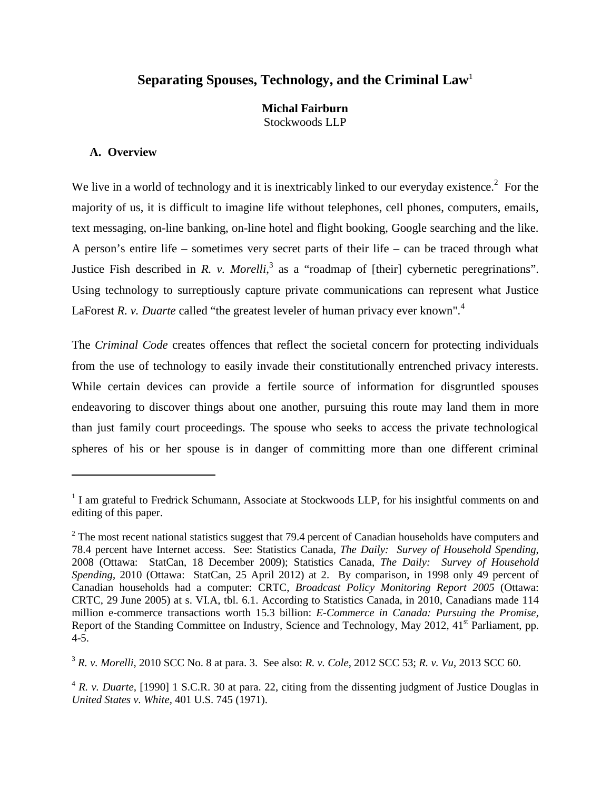# **Separating Spouses, Technology, and the Criminal Law**<sup>1</sup>

**Michal Fairburn** Stockwoods LLP

### **A. Overview**

 $\overline{a}$ 

We live in a world of technology and it is inextricably linked to our everyday existence.<sup>2</sup> For the majority of us, it is difficult to imagine life without telephones, cell phones, computers, emails, text messaging, on-line banking, on-line hotel and flight booking, Google searching and the like. A person's entire life – sometimes very secret parts of their life – can be traced through what Justice Fish described in *R. v. Morelli*,<sup>3</sup> as a "roadmap of [their] cybernetic peregrinations". Using technology to surreptiously capture private communications can represent what Justice LaForest *R. v. Duarte* called "the greatest leveler of human privacy ever known".<sup>4</sup>

The *Criminal Code* creates offences that reflect the societal concern for protecting individuals from the use of technology to easily invade their constitutionally entrenched privacy interests. While certain devices can provide a fertile source of information for disgruntled spouses endeavoring to discover things about one another, pursuing this route may land them in more than just family court proceedings. The spouse who seeks to access the private technological spheres of his or her spouse is in danger of committing more than one different criminal

<sup>&</sup>lt;sup>1</sup> I am grateful to Fredrick Schumann, Associate at Stockwoods LLP, for his insightful comments on and editing of this paper.

 $2$  The most recent national statistics suggest that 79.4 percent of Canadian households have computers and 78.4 percent have Internet access. See: Statistics Canada, *The Daily: Survey of Household Spending*, 2008 (Ottawa: StatCan, 18 December 2009); Statistics Canada, *The Daily: Survey of Household Spending*, 2010 (Ottawa: StatCan, 25 April 2012) at 2. By comparison, in 1998 only 49 percent of Canadian households had a computer: CRTC, *Broadcast Policy Monitoring Report 2005* (Ottawa: CRTC, 29 June 2005) at s. VI.A, tbl. 6.1. According to Statistics Canada, in 2010, Canadians made 114 million e-commerce transactions worth 15.3 billion: *E-Commerce in Canada: Pursuing the Promise,*  Report of the Standing Committee on Industry, Science and Technology, May 2012, 41<sup>st</sup> Parliament, pp. 4-5.

<sup>3</sup> *R. v. Morelli,* 2010 SCC No. 8 at para. 3. See also: *R. v. Cole,* 2012 SCC 53; *R. v. Vu,* 2013 SCC 60.

<sup>&</sup>lt;sup>4</sup> *R. v. Duarte,* [1990] 1 S.C.R. 30 at para. 22, citing from the dissenting judgment of Justice Douglas in *United States v. White,* 401 U.S. 745 (1971).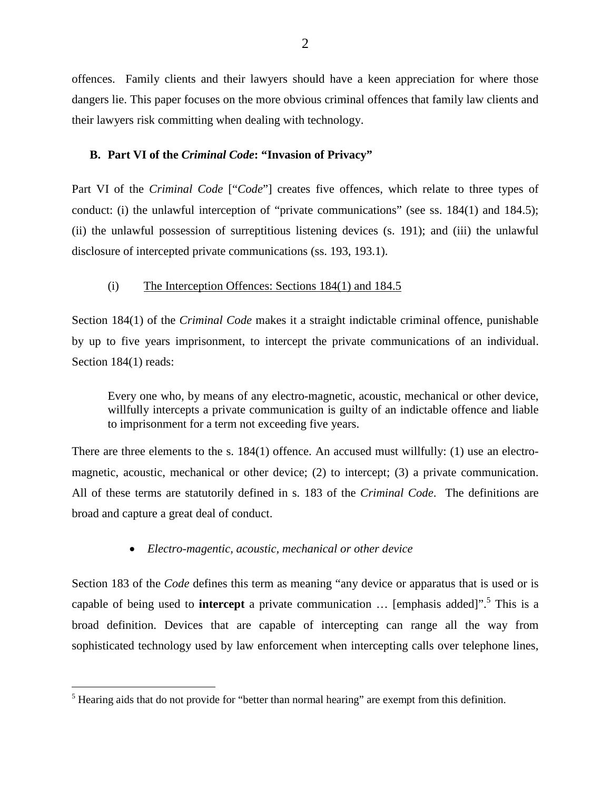offences. Family clients and their lawyers should have a keen appreciation for where those dangers lie. This paper focuses on the more obvious criminal offences that family law clients and their lawyers risk committing when dealing with technology.

# **B. Part VI of the** *Criminal Code***: "Invasion of Privacy"**

Part VI of the *Criminal Code* ["*Code*"] creates five offences, which relate to three types of conduct: (i) the unlawful interception of "private communications" (see ss. 184(1) and 184.5); (ii) the unlawful possession of surreptitious listening devices (s. 191); and (iii) the unlawful disclosure of intercepted private communications (ss. 193, 193.1).

#### (i) The Interception Offences: Sections 184(1) and 184.5

Section 184(1) of the *Criminal Code* makes it a straight indictable criminal offence, punishable by up to five years imprisonment, to intercept the private communications of an individual. Section 184(1) reads:

Every one who, by means of any electro-magnetic, acoustic, mechanical or other device, willfully intercepts a private communication is guilty of an indictable offence and liable to imprisonment for a term not exceeding five years.

There are three elements to the s. 184(1) offence. An accused must willfully: (1) use an electromagnetic, acoustic, mechanical or other device; (2) to intercept; (3) a private communication. All of these terms are statutorily defined in s. 183 of the *Criminal Code*. The definitions are broad and capture a great deal of conduct.

• *Electro-magentic, acoustic, mechanical or other device* 

Section 183 of the *Code* defines this term as meaning "any device or apparatus that is used or is capable of being used to **intercept** a private communication ... [emphasis added]".<sup>5</sup> This is a broad definition. Devices that are capable of intercepting can range all the way from sophisticated technology used by law enforcement when intercepting calls over telephone lines,

 $<sup>5</sup>$  Hearing aids that do not provide for "better than normal hearing" are exempt from this definition.</sup>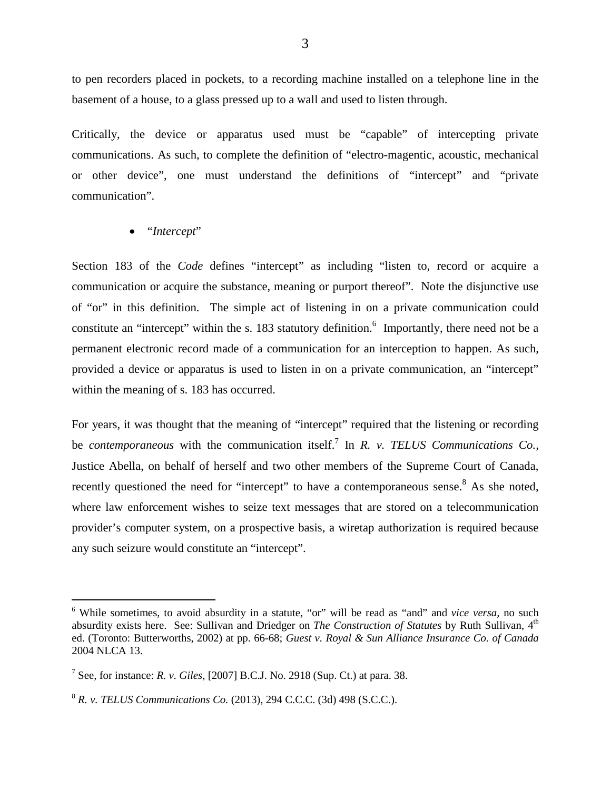to pen recorders placed in pockets, to a recording machine installed on a telephone line in the basement of a house, to a glass pressed up to a wall and used to listen through.

Critically, the device or apparatus used must be "capable" of intercepting private communications. As such, to complete the definition of "electro-magentic, acoustic, mechanical or other device", one must understand the definitions of "intercept" and "private communication".

### • "*Intercept*"

Section 183 of the *Code* defines "intercept" as including "listen to, record or acquire a communication or acquire the substance, meaning or purport thereof". Note the disjunctive use of "or" in this definition. The simple act of listening in on a private communication could constitute an "intercept" within the s. 183 statutory definition.<sup>6</sup> Importantly, there need not be a permanent electronic record made of a communication for an interception to happen. As such, provided a device or apparatus is used to listen in on a private communication, an "intercept" within the meaning of s. 183 has occurred.

For years, it was thought that the meaning of "intercept" required that the listening or recording be *contemporaneous* with the communication itself.<sup>7</sup> In *R. v. TELUS Communications Co.*, Justice Abella, on behalf of herself and two other members of the Supreme Court of Canada, recently questioned the need for "intercept" to have a contemporaneous sense.<sup>8</sup> As she noted, where law enforcement wishes to seize text messages that are stored on a telecommunication provider's computer system, on a prospective basis, a wiretap authorization is required because any such seizure would constitute an "intercept".

 <sup>6</sup> While sometimes, to avoid absurdity in a statute, "or" will be read as "and" and *vice versa,* no such absurdity exists here. See: Sullivan and Driedger on *The Construction of Statutes* by Ruth Sullivan, 4<sup>th</sup> ed. (Toronto: Butterworths, 2002) at pp. 66-68; *Guest v. Royal & Sun Alliance Insurance Co. of Canada* 2004 NLCA 13.

<sup>7</sup> See, for instance: *R. v. Giles,* [2007] B.C.J. No. 2918 (Sup. Ct.) at para. 38.

<sup>8</sup> *R. v. TELUS Communications Co.* (2013), 294 C.C.C. (3d) 498 (S.C.C.).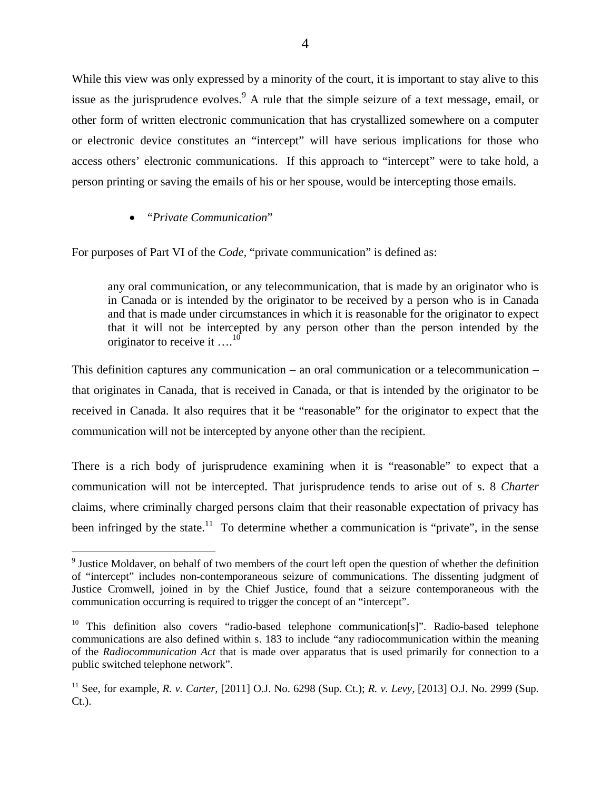While this view was only expressed by a minority of the court, it is important to stay alive to this issue as the jurisprudence evolves.  $\frac{9}{9}$  A rule that the simple seizure of a text message, email, or other form of written electronic communication that has crystallized somewhere on a computer or electronic device constitutes an "intercept" will have serious implications for those who access others' electronic communications. If this approach to "intercept" were to take hold, a person printing or saving the emails of his or her spouse, would be intercepting those emails.

• "*Private Communication*"

For purposes of Part VI of the *Code,* "private communication" is defined as:

any oral communication, or any telecommunication, that is made by an originator who is in Canada or is intended by the originator to be received by a person who is in Canada and that is made under circumstances in which it is reasonable for the originator to expect that it will not be intercepted by any person other than the person intended by the originator to receive it  $\dots^{10}$ 

This definition captures any communication – an oral communication or a telecommunication – that originates in Canada, that is received in Canada, or that is intended by the originator to be received in Canada. It also requires that it be "reasonable" for the originator to expect that the communication will not be intercepted by anyone other than the recipient.

There is a rich body of jurisprudence examining when it is "reasonable" to expect that a communication will not be intercepted. That jurisprudence tends to arise out of s. 8 *Charter* claims, where criminally charged persons claim that their reasonable expectation of privacy has been infringed by the state.<sup>11</sup> To determine whether a communication is "private", in the sense

<sup>&</sup>lt;sup>9</sup> Justice Moldaver, on behalf of two members of the court left open the question of whether the definition of "intercept" includes non-contemporaneous seizure of communications. The dissenting judgment of Justice Cromwell, joined in by the Chief Justice, found that a seizure contemporaneous with the communication occurring is required to trigger the concept of an "intercept".

<sup>&</sup>lt;sup>10</sup> This definition also covers "radio-based telephone communication[s]". Radio-based telephone communications are also defined within s. 183 to include "any radiocommunication within the meaning of the *Radiocommunication Act* that is made over apparatus that is used primarily for connection to a public switched telephone network".

<sup>11</sup> See, for example, *R. v. Carter,* [2011] O.J. No. 6298 (Sup. Ct.); *R. v. Levy,* [2013] O.J. No. 2999 (Sup. Ct.).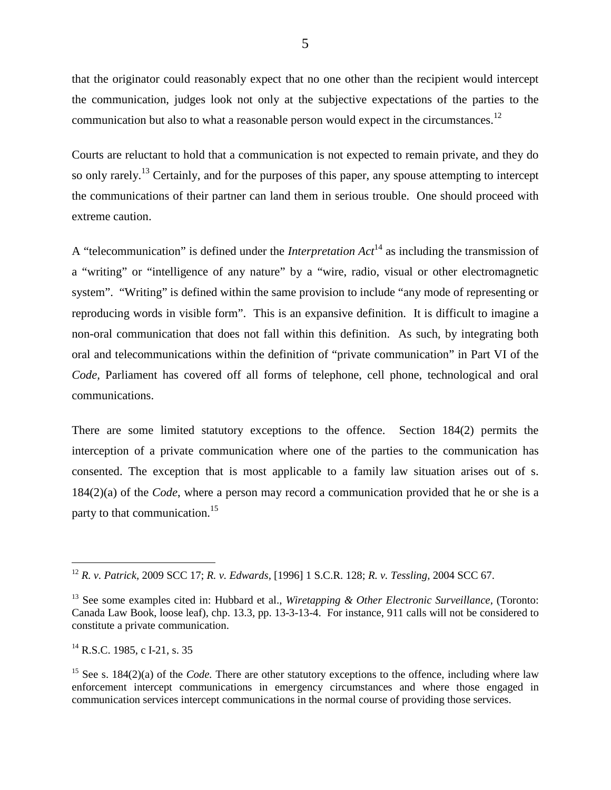that the originator could reasonably expect that no one other than the recipient would intercept the communication, judges look not only at the subjective expectations of the parties to the communication but also to what a reasonable person would expect in the circumstances.<sup>12</sup>

Courts are reluctant to hold that a communication is not expected to remain private, and they do so only rarely.<sup>13</sup> Certainly, and for the purposes of this paper, any spouse attempting to intercept the communications of their partner can land them in serious trouble. One should proceed with extreme caution.

A "telecommunication" is defined under the *Interpretation Act*<sup>14</sup> as including the transmission of a "writing" or "intelligence of any nature" by a "wire, radio, visual or other electromagnetic system". "Writing" is defined within the same provision to include "any mode of representing or reproducing words in visible form". This is an expansive definition. It is difficult to imagine a non-oral communication that does not fall within this definition. As such, by integrating both oral and telecommunications within the definition of "private communication" in Part VI of the *Code,* Parliament has covered off all forms of telephone, cell phone, technological and oral communications.

There are some limited statutory exceptions to the offence. Section 184(2) permits the interception of a private communication where one of the parties to the communication has consented. The exception that is most applicable to a family law situation arises out of s. 184(2)(a) of the *Code*, where a person may record a communication provided that he or she is a party to that communication.<sup>15</sup>

 <sup>12</sup> *R. v. Patrick,* 2009 SCC 17; *R. v. Edwards,* [1996] 1 S.C.R. 128; *R. v. Tessling,* 2004 SCC 67.

<sup>13</sup> See some examples cited in: Hubbard et al., *Wiretapping & Other Electronic Surveillance,* (Toronto: Canada Law Book, loose leaf), chp. 13.3, pp. 13-3-13-4. For instance, 911 calls will not be considered to constitute a private communication.

 $^{14}$  R.S.C. 1985, c I-21, s, 35

<sup>&</sup>lt;sup>15</sup> See s. 184(2)(a) of the *Code*. There are other statutory exceptions to the offence, including where law enforcement intercept communications in emergency circumstances and where those engaged in communication services intercept communications in the normal course of providing those services.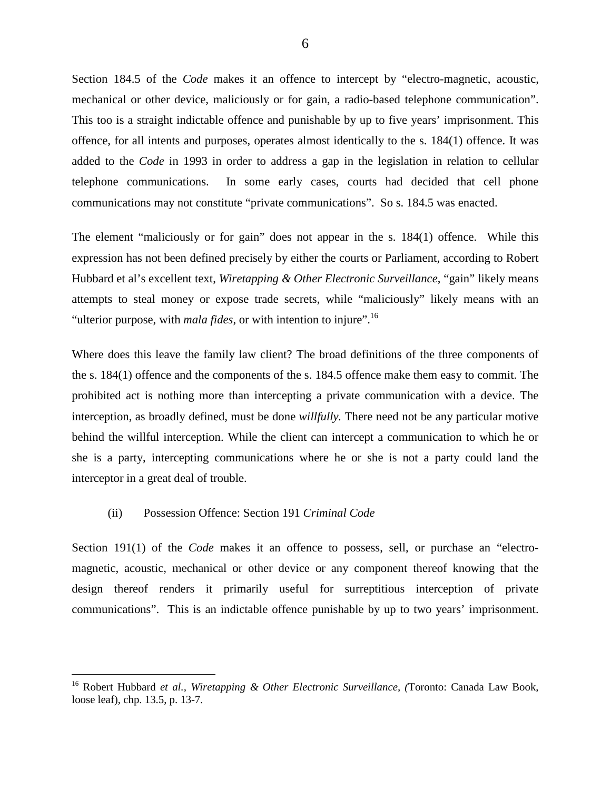Section 184.5 of the *Code* makes it an offence to intercept by "electro-magnetic, acoustic, mechanical or other device, maliciously or for gain, a radio-based telephone communication". This too is a straight indictable offence and punishable by up to five years' imprisonment. This offence, for all intents and purposes, operates almost identically to the s. 184(1) offence. It was added to the *Code* in 1993 in order to address a gap in the legislation in relation to cellular telephone communications. In some early cases, courts had decided that cell phone communications may not constitute "private communications". So s. 184.5 was enacted.

The element "maliciously or for gain" does not appear in the s. 184(1) offence. While this expression has not been defined precisely by either the courts or Parliament, according to Robert Hubbard et al's excellent text, *Wiretapping & Other Electronic Surveillance*, "gain" likely means attempts to steal money or expose trade secrets, while "maliciously" likely means with an "ulterior purpose, with *mala fides*, or with intention to injure".<sup>16</sup>

Where does this leave the family law client? The broad definitions of the three components of the s. 184(1) offence and the components of the s. 184.5 offence make them easy to commit. The prohibited act is nothing more than intercepting a private communication with a device. The interception, as broadly defined, must be done *willfully.* There need not be any particular motive behind the willful interception. While the client can intercept a communication to which he or she is a party, intercepting communications where he or she is not a party could land the interceptor in a great deal of trouble.

#### (ii) Possession Offence: Section 191 *Criminal Code*

Section 191(1) of the *Code* makes it an offence to possess, sell, or purchase an "electromagnetic, acoustic, mechanical or other device or any component thereof knowing that the design thereof renders it primarily useful for surreptitious interception of private communications". This is an indictable offence punishable by up to two years' imprisonment.

 <sup>16</sup> Robert Hubbard *et al., Wiretapping & Other Electronic Surveillance, (*Toronto: Canada Law Book, loose leaf), chp. 13.5, p. 13-7.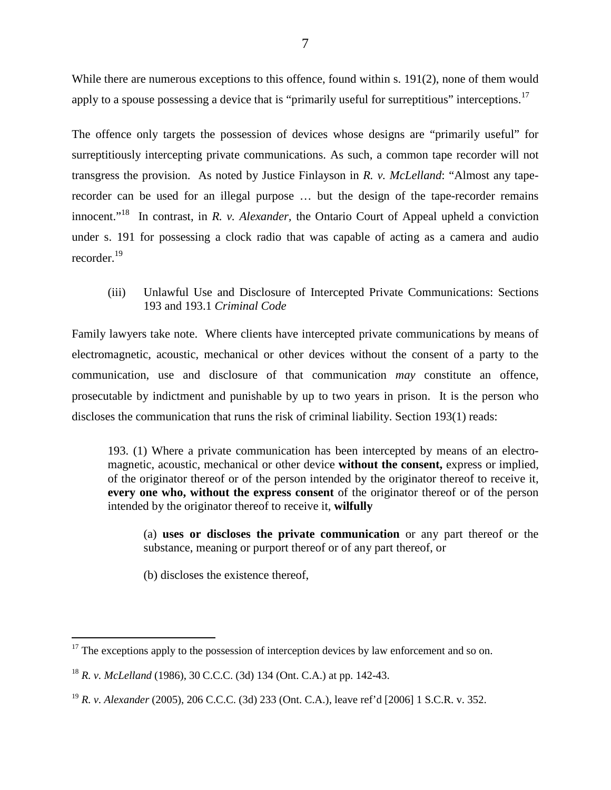While there are numerous exceptions to this offence, found within s. 191(2), none of them would apply to a spouse possessing a device that is "primarily useful for surreptitious" interceptions.<sup>17</sup>

The offence only targets the possession of devices whose designs are "primarily useful" for surreptitiously intercepting private communications. As such, a common tape recorder will not transgress the provision. As noted by Justice Finlayson in *R. v. McLelland*: "Almost any taperecorder can be used for an illegal purpose … but the design of the tape-recorder remains innocent."18 In contrast, in *R. v. Alexander,* the Ontario Court of Appeal upheld a conviction under s. 191 for possessing a clock radio that was capable of acting as a camera and audio recorder.<sup>19</sup>

(iii) Unlawful Use and Disclosure of Intercepted Private Communications: Sections 193 and 193.1 *Criminal Code*

Family lawyers take note. Where clients have intercepted private communications by means of electromagnetic, acoustic, mechanical or other devices without the consent of a party to the communication, use and disclosure of that communication *may* constitute an offence, prosecutable by indictment and punishable by up to two years in prison. It is the person who discloses the communication that runs the risk of criminal liability. Section 193(1) reads:

193. (1) Where a private communication has been intercepted by means of an electromagnetic, acoustic, mechanical or other device **without the consent,** express or implied, of the originator thereof or of the person intended by the originator thereof to receive it, **every one who, without the express consent** of the originator thereof or of the person intended by the originator thereof to receive it, **wilfully**

(a) **uses or discloses the private communication** or any part thereof or the substance, meaning or purport thereof or of any part thereof, or

(b) discloses the existence thereof,

 $17$  The exceptions apply to the possession of interception devices by law enforcement and so on.

<sup>18</sup> *R. v. McLelland* (1986), 30 C.C.C. (3d) 134 (Ont. C.A.) at pp. 142-43.

<sup>19</sup> *R. v. Alexander* (2005), 206 C.C.C. (3d) 233 (Ont. C.A.), leave ref'd [2006] 1 S.C.R. v. 352.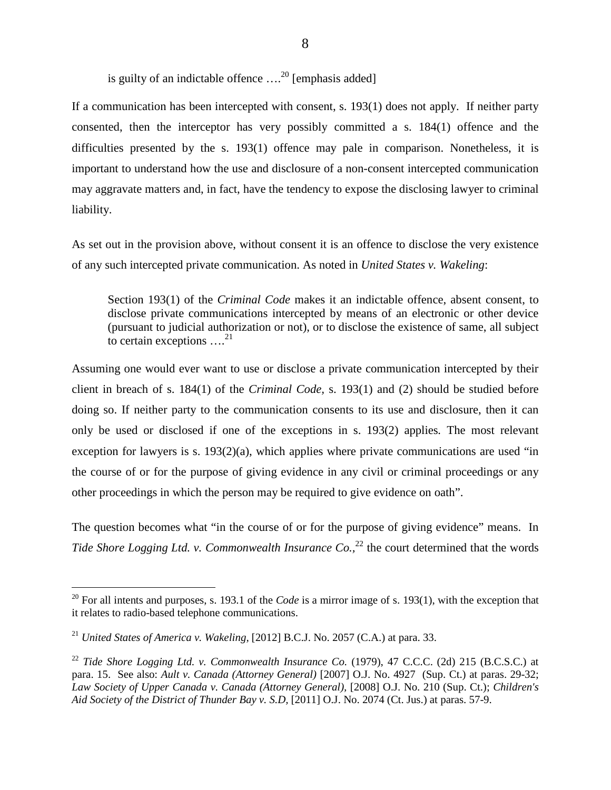is guilty of an indictable offence  $\ldots$ <sup>20</sup> [emphasis added]

If a communication has been intercepted with consent, s. 193(1) does not apply. If neither party consented, then the interceptor has very possibly committed a s. 184(1) offence and the difficulties presented by the s. 193(1) offence may pale in comparison. Nonetheless, it is important to understand how the use and disclosure of a non-consent intercepted communication may aggravate matters and, in fact, have the tendency to expose the disclosing lawyer to criminal liability.

As set out in the provision above, without consent it is an offence to disclose the very existence of any such intercepted private communication. As noted in *United States v. Wakeling*:

Section 193(1) of the *Criminal Code* makes it an indictable offence, absent consent, to disclose private communications intercepted by means of an electronic or other device (pursuant to judicial authorization or not), or to disclose the existence of same, all subject to certain exceptions  $\dots^{21}$ 

Assuming one would ever want to use or disclose a private communication intercepted by their client in breach of s. 184(1) of the *Criminal Code,* s. 193(1) and (2) should be studied before doing so. If neither party to the communication consents to its use and disclosure, then it can only be used or disclosed if one of the exceptions in s. 193(2) applies*.* The most relevant exception for lawyers is s.  $193(2)(a)$ , which applies where private communications are used "in the course of or for the purpose of giving evidence in any civil or criminal proceedings or any other proceedings in which the person may be required to give evidence on oath".

The question becomes what "in the course of or for the purpose of giving evidence" means. In *Tide Shore Logging Ltd. v. Commonwealth Insurance Co.*<sup>22</sup> the court determined that the words

<sup>&</sup>lt;sup>20</sup> For all intents and purposes, s. 193.1 of the *Code* is a mirror image of s. 193(1), with the exception that it relates to radio-based telephone communications.

<sup>&</sup>lt;sup>21</sup> *United States of America v. Wakeling, [2012] B.C.J. No. 2057 (C.A.) at para. 33.* 

 $22$  *Tide Shore Logging Ltd. v. Commonwealth Insurance Co.* (1979), 47 C.C.C. (2d) 215 (B.C.S.C.) at para. 15. See also: *Ault v. Canada (Attorney General)* [2007] O.J. No. 4927 (Sup. Ct.) at paras. 29-32; *Law Society of Upper Canada v. Canada (Attorney General),* [2008] O.J. No. 210 (Sup. Ct.); *Children's Aid Society of the District of Thunder Bay v. S.D,* [2011] O.J. No. 2074 (Ct. Jus.) at paras. 57-9.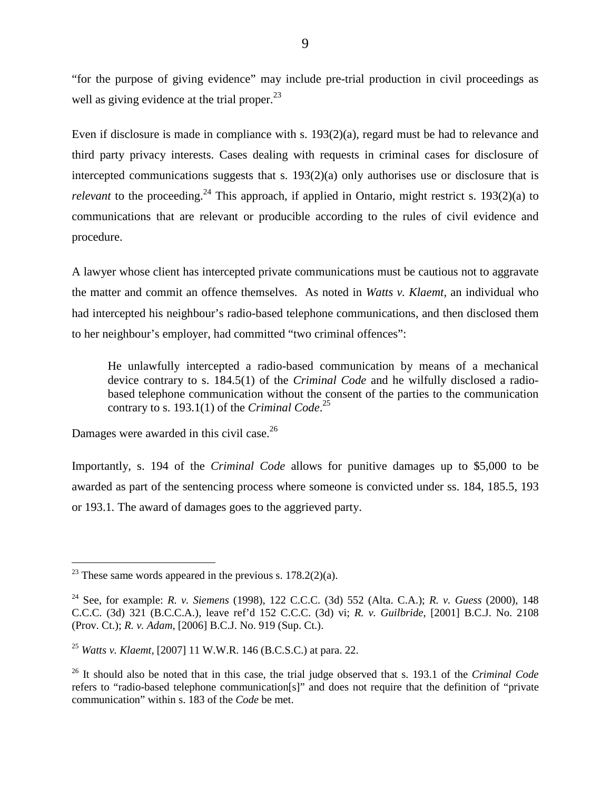"for the purpose of giving evidence" may include pre-trial production in civil proceedings as well as giving evidence at the trial proper.<sup>23</sup>

Even if disclosure is made in compliance with s. 193(2)(a), regard must be had to relevance and third party privacy interests. Cases dealing with requests in criminal cases for disclosure of intercepted communications suggests that s. 193(2)(a) only authorises use or disclosure that is *relevant* to the proceeding.<sup>24</sup> This approach, if applied in Ontario, might restrict s. 193(2)(a) to communications that are relevant or producible according to the rules of civil evidence and procedure.

A lawyer whose client has intercepted private communications must be cautious not to aggravate the matter and commit an offence themselves. As noted in *Watts v. Klaemt,* an individual who had intercepted his neighbour's radio-based telephone communications, and then disclosed them to her neighbour's employer, had committed "two criminal offences":

He unlawfully intercepted a radio-based communication by means of a mechanical device contrary to s. 184.5(1) of the *Criminal Code* and he wilfully disclosed a radiobased telephone communication without the consent of the parties to the communication contrary to s. 193.1(1) of the *Criminal Code*. 25

Damages were awarded in this civil case.<sup>26</sup>

Importantly, s. 194 of the *Criminal Code* allows for punitive damages up to \$5,000 to be awarded as part of the sentencing process where someone is convicted under ss. 184, 185.5, 193 or 193.1*.* The award of damages goes to the aggrieved party.

<sup>&</sup>lt;sup>23</sup> These same words appeared in the previous s.  $178.2(2)(a)$ .

<sup>24</sup> See, for example: *R. v. Siemens* (1998), 122 C.C.C. (3d) 552 (Alta. C.A.); *R. v. Guess* (2000), 148 C.C.C. (3d) 321 (B.C.C.A.), leave ref'd 152 C.C.C. (3d) vi; *R. v. Guilbride*, [2001] B.C.J. No. 2108 (Prov. Ct.); *R. v. Adam*, [2006] B.C.J. No. 919 (Sup. Ct.).

<sup>25</sup> *Watts v. Klaemt,* [2007] 11 W.W.R. 146 (B.C.S.C.) at para. 22.

<sup>26</sup> It should also be noted that in this case, the trial judge observed that s. 193.1 of the *Criminal Code* refers to "radio-based telephone communication[s]" and does not require that the definition of "private communication" within s. 183 of the *Code* be met.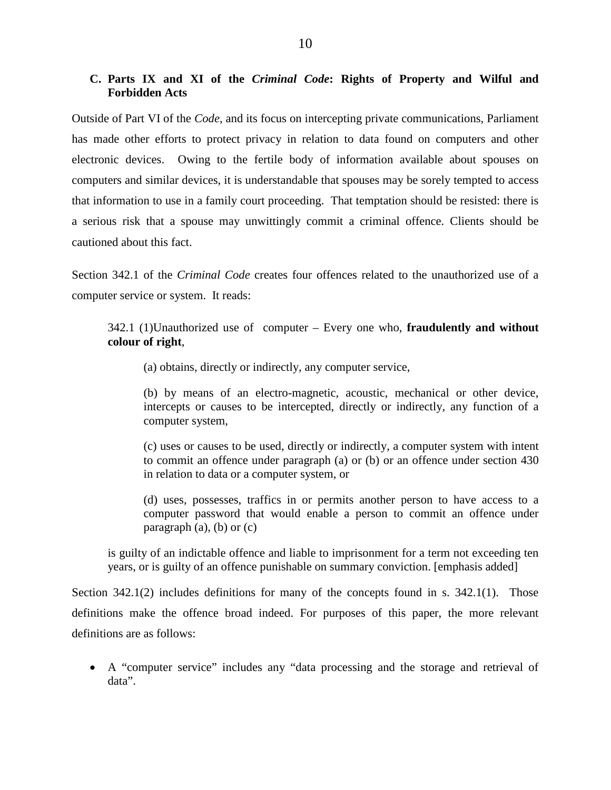# **C. Parts IX and XI of the** *Criminal Code***: Rights of Property and Wilful and Forbidden Acts**

Outside of Part VI of the *Code*, and its focus on intercepting private communications, Parliament has made other efforts to protect privacy in relation to data found on computers and other electronic devices. Owing to the fertile body of information available about spouses on computers and similar devices, it is understandable that spouses may be sorely tempted to access that information to use in a family court proceeding. That temptation should be resisted: there is a serious risk that a spouse may unwittingly commit a criminal offence. Clients should be cautioned about this fact.

Section 342.1 of the *Criminal Code* creates four offences related to the unauthorized use of a computer service or system. It reads:

342.1 (1)Unauthorized use of computer – Every one who, **fraudulently and without colour of right**,

(a) obtains, directly or indirectly, any computer service,

(b) by means of an electro-magnetic, acoustic, mechanical or other device, intercepts or causes to be intercepted, directly or indirectly, any function of a computer system,

(c) uses or causes to be used, directly or indirectly, a computer system with intent to commit an offence under paragraph (a) or (b) or an offence under section 430 in relation to data or a computer system, or

(d) uses, possesses, traffics in or permits another person to have access to a computer password that would enable a person to commit an offence under paragraph  $(a)$ ,  $(b)$  or  $(c)$ 

is guilty of an indictable offence and liable to imprisonment for a term not exceeding ten years, or is guilty of an offence punishable on summary conviction. [emphasis added]

Section 342.1(2) includes definitions for many of the concepts found in s. 342.1(1). Those definitions make the offence broad indeed. For purposes of this paper, the more relevant definitions are as follows:

• A "computer service" includes any "data processing and the storage and retrieval of data".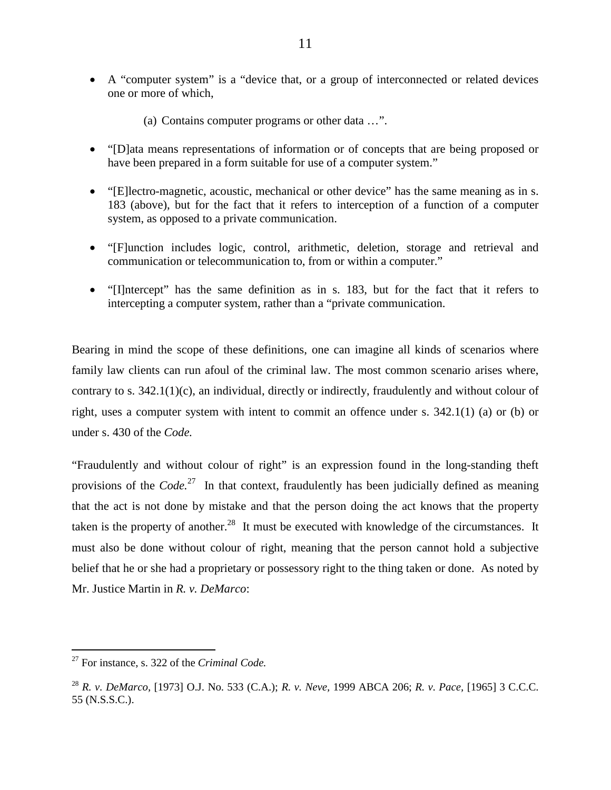- A "computer system" is a "device that, or a group of interconnected or related devices one or more of which,
	- (a) Contains computer programs or other data …".
- "[D]ata means representations of information or of concepts that are being proposed or have been prepared in a form suitable for use of a computer system."
- "[E]lectro-magnetic, acoustic, mechanical or other device" has the same meaning as in s. 183 (above), but for the fact that it refers to interception of a function of a computer system, as opposed to a private communication.
- "[F]unction includes logic, control, arithmetic, deletion, storage and retrieval and communication or telecommunication to, from or within a computer."
- "[I]ntercept" has the same definition as in s. 183, but for the fact that it refers to intercepting a computer system, rather than a "private communication.

Bearing in mind the scope of these definitions, one can imagine all kinds of scenarios where family law clients can run afoul of the criminal law. The most common scenario arises where, contrary to s. 342.1(1)(c), an individual, directly or indirectly, fraudulently and without colour of right, uses a computer system with intent to commit an offence under s. 342.1(1) (a) or (b) or under s. 430 of the *Code.*

"Fraudulently and without colour of right" is an expression found in the long-standing theft provisions of the *Code.*<sup>27</sup> In that context, fraudulently has been judicially defined as meaning that the act is not done by mistake and that the person doing the act knows that the property taken is the property of another.<sup>28</sup> It must be executed with knowledge of the circumstances. It must also be done without colour of right, meaning that the person cannot hold a subjective belief that he or she had a proprietary or possessory right to the thing taken or done. As noted by Mr. Justice Martin in *R. v. DeMarco*:

 <sup>27</sup> For instance, s. 322 of the *Criminal Code.* 

<sup>28</sup> *R. v. DeMarco,* [1973] O.J. No. 533 (C.A.); *R. v. Neve,* 1999 ABCA 206; *R. v. Pace,* [1965] 3 C.C.C. 55 (N.S.S.C.).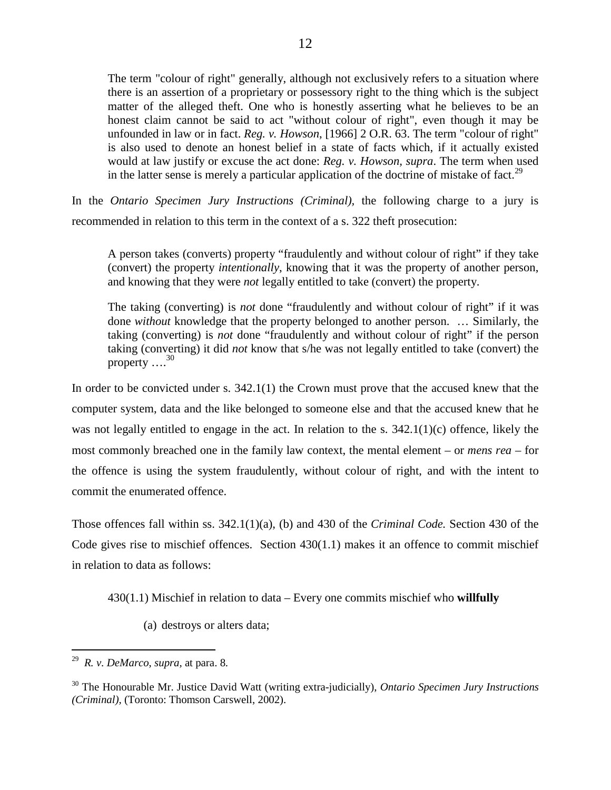The term "colour of right" generally, although not exclusively refers to a situation where there is an assertion of a proprietary or possessory right to the thing which is the subject matter of the alleged theft. One who is honestly asserting what he believes to be an honest claim cannot be said to act "without colour of right", even though it may be unfounded in law or in fact. *Reg. v. Howson*, [1966] 2 O.R. 63. The term "colour of right" is also used to denote an honest belief in a state of facts which, if it actually existed would at law justify or excuse the act done: *Reg. v. Howson, supra*. The term when used in the latter sense is merely a particular application of the doctrine of mistake of fact.<sup>29</sup>

In the *Ontario Specimen Jury Instructions (Criminal)*, the following charge to a jury is recommended in relation to this term in the context of a s. 322 theft prosecution:

A person takes (converts) property "fraudulently and without colour of right" if they take (convert) the property *intentionally*, knowing that it was the property of another person, and knowing that they were *not* legally entitled to take (convert) the property.

The taking (converting) is *not* done "fraudulently and without colour of right" if it was done *without* knowledge that the property belonged to another person. … Similarly, the taking (converting) is *not* done "fraudulently and without colour of right" if the person taking (converting) it did *not* know that s/he was not legally entitled to take (convert) the property  $\dots^{30}$ 

In order to be convicted under s. 342.1(1) the Crown must prove that the accused knew that the computer system, data and the like belonged to someone else and that the accused knew that he was not legally entitled to engage in the act. In relation to the s.  $342.1(1)(c)$  offence, likely the most commonly breached one in the family law context, the mental element – or *mens rea* – for the offence is using the system fraudulently, without colour of right, and with the intent to commit the enumerated offence.

Those offences fall within ss. 342.1(1)(a), (b) and 430 of the *Criminal Code.* Section 430 of the Code gives rise to mischief offences. Section  $430(1.1)$  makes it an offence to commit mischief in relation to data as follows:

430(1.1) Mischief in relation to data – Every one commits mischief who **willfully**

(a) destroys or alters data;

 <sup>29</sup> *R. v. DeMarco*, *supra,* at para. 8.

<sup>30</sup> The Honourable Mr. Justice David Watt (writing extra-judicially), *Ontario Specimen Jury Instructions (Criminal),* (Toronto: Thomson Carswell, 2002).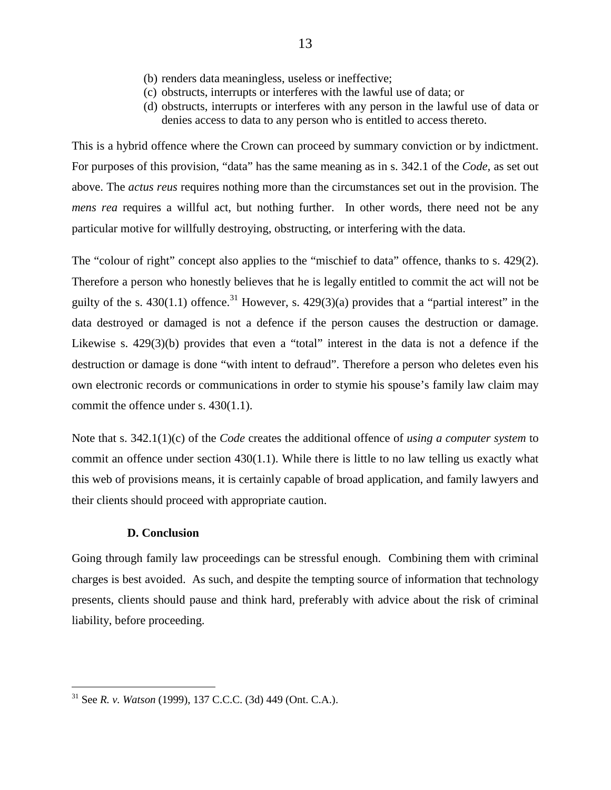- (b) renders data meaningless, useless or ineffective;
- (c) obstructs, interrupts or interferes with the lawful use of data; or
- (d) obstructs, interrupts or interferes with any person in the lawful use of data or denies access to data to any person who is entitled to access thereto.

This is a hybrid offence where the Crown can proceed by summary conviction or by indictment. For purposes of this provision, "data" has the same meaning as in s. 342.1 of the *Code,* as set out above. The *actus reus* requires nothing more than the circumstances set out in the provision. The *mens rea* requires a willful act, but nothing further. In other words, there need not be any particular motive for willfully destroying, obstructing, or interfering with the data.

The "colour of right" concept also applies to the "mischief to data" offence, thanks to s. 429(2). Therefore a person who honestly believes that he is legally entitled to commit the act will not be guilty of the s. 430(1.1) offence.<sup>31</sup> However, s. 429(3)(a) provides that a "partial interest" in the data destroyed or damaged is not a defence if the person causes the destruction or damage. Likewise s. 429(3)(b) provides that even a "total" interest in the data is not a defence if the destruction or damage is done "with intent to defraud". Therefore a person who deletes even his own electronic records or communications in order to stymie his spouse's family law claim may commit the offence under s. 430(1.1).

Note that s. 342.1(1)(c) of the *Code* creates the additional offence of *using a computer system* to commit an offence under section 430(1.1). While there is little to no law telling us exactly what this web of provisions means, it is certainly capable of broad application, and family lawyers and their clients should proceed with appropriate caution.

# **D. Conclusion**

Going through family law proceedings can be stressful enough. Combining them with criminal charges is best avoided. As such, and despite the tempting source of information that technology presents, clients should pause and think hard, preferably with advice about the risk of criminal liability, before proceeding.

 <sup>31</sup> See *R. v. Watson* (1999), 137 C.C.C. (3d) 449 (Ont. C.A.).